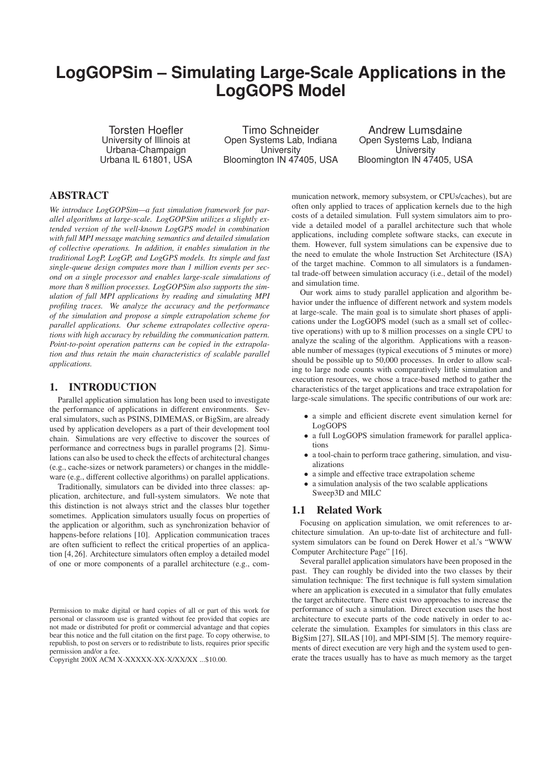# **LogGOPSim – Simulating Large-Scale Applications in the LogGOPS Model**

Torsten Hoefler University of Illinois at Urbana-Champaign Urbana IL 61801, USA

Timo Schneider Open Systems Lab, Indiana **University** Bloomington IN 47405, USA

Andrew Lumsdaine Open Systems Lab, Indiana **University** Bloomington IN 47405, USA

# **ABSTRACT**

*We introduce LogGOPSim—a fast simulation framework for parallel algorithms at large-scale. LogGOPSim utilizes a slightly extended version of the well-known LogGPS model in combination with full MPI message matching semantics and detailed simulation of collective operations. In addition, it enables simulation in the traditional LogP, LogGP, and LogGPS models. Its simple and fast single-queue design computes more than 1 million events per second on a single processor and enables large-scale simulations of more than 8 million processes. LogGOPSim also supports the simulation of full MPI applications by reading and simulating MPI profiling traces. We analyze the accuracy and the performance of the simulation and propose a simple extrapolation scheme for parallel applications. Our scheme extrapolates collective operations with high accuracy by rebuilding the communication pattern. Point-to-point operation patterns can be copied in the extrapolation and thus retain the main characteristics of scalable parallel applications.*

## **1. INTRODUCTION**

Parallel application simulation has long been used to investigate the performance of applications in different environments. Several simulators, such as PSINS, DIMEMAS, or BigSim, are already used by application developers as a part of their development tool chain. Simulations are very effective to discover the sources of performance and correctness bugs in parallel programs [2]. Simulations can also be used to check the effects of architectural changes (e.g., cache-sizes or network parameters) or changes in the middleware (e.g., different collective algorithms) on parallel applications.

Traditionally, simulators can be divided into three classes: application, architecture, and full-system simulators. We note that this distinction is not always strict and the classes blur together sometimes. Application simulators usually focus on properties of the application or algorithm, such as synchronization behavior of happens-before relations [10]. Application communication traces are often sufficient to reflect the critical properties of an application [4,26]. Architecture simulators often employ a detailed model of one or more components of a parallel architecture (e.g., com-

munication network, memory subsystem, or CPUs/caches), but are often only applied to traces of application kernels due to the high costs of a detailed simulation. Full system simulators aim to provide a detailed model of a parallel architecture such that whole applications, including complete software stacks, can execute in them. However, full system simulations can be expensive due to the need to emulate the whole Instruction Set Architecture (ISA) of the target machine. Common to all simulators is a fundamental trade-off between simulation accuracy (i.e., detail of the model) and simulation time.

Our work aims to study parallel application and algorithm behavior under the influence of different network and system models at large-scale. The main goal is to simulate short phases of applications under the LogGOPS model (such as a small set of collective operations) with up to 8 million processes on a single CPU to analyze the scaling of the algorithm. Applications with a reasonable number of messages (typical executions of 5 minutes or more) should be possible up to 50,000 processes. In order to allow scaling to large node counts with comparatively little simulation and execution resources, we chose a trace-based method to gather the characteristics of the target applications and trace extrapolation for large-scale simulations. The specific contributions of our work are:

- a simple and efficient discrete event simulation kernel for LogGOPS
- a full LogGOPS simulation framework for parallel applications
- a tool-chain to perform trace gathering, simulation, and visualizations
- a simple and effective trace extrapolation scheme
- a simulation analysis of the two scalable applications Sweep3D and MILC

# **1.1 Related Work**

Focusing on application simulation, we omit references to architecture simulation. An up-to-date list of architecture and fullsystem simulators can be found on Derek Hower et al.'s "WWW Computer Architecture Page" [16].

Several parallel application simulators have been proposed in the past. They can roughly be divided into the two classes by their simulation technique: The first technique is full system simulation where an application is executed in a simulator that fully emulates the target architecture. There exist two approaches to increase the performance of such a simulation. Direct execution uses the host architecture to execute parts of the code natively in order to accelerate the simulation. Examples for simulators in this class are BigSim [27], SILAS [10], and MPI-SIM [5]. The memory requirements of direct execution are very high and the system used to generate the traces usually has to have as much memory as the target

Permission to make digital or hard copies of all or part of this work for personal or classroom use is granted without fee provided that copies are not made or distributed for profit or commercial advantage and that copies bear this notice and the full citation on the first page. To copy otherwise, to republish, to post on servers or to redistribute to lists, requires prior specific permission and/or a fee.

Copyright 200X ACM X-XXXXX-XX-X/XX/XX ...\$10.00.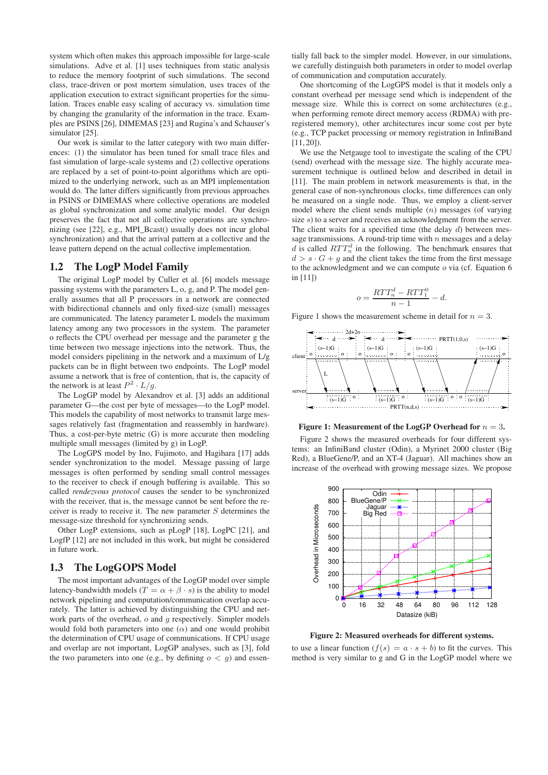system which often makes this approach impossible for large-scale simulations. Adve et al. [1] uses techniques from static analysis to reduce the memory footprint of such simulations. The second class, trace-driven or post mortem simulation, uses traces of the application execution to extract significant properties for the simulation. Traces enable easy scaling of accuracy vs. simulation time by changing the granularity of the information in the trace. Examples are PSINS [26], DIMEMAS [23] and Rugina's and Schauser's simulator [25].

Our work is similar to the latter category with two main differences: (1) the simulator has been tuned for small trace files and fast simulation of large-scale systems and (2) collective operations are replaced by a set of point-to-point algorithms which are optimized to the underlying network, such as an MPI implementation would do. The latter differs significantly from previous approaches in PSINS or DIMEMAS where collective operations are modeled as global synchronization and some analytic model. Our design preserves the fact that not all collective operations are synchronizing (see [22], e.g., MPI\_Bcast() usually does not incur global synchronization) and that the arrival pattern at a collective and the leave pattern depend on the actual collective implementation.

## **1.2 The LogP Model Family**

The original LogP model by Culler et al. [6] models message passing systems with the parameters L, o, g, and P. The model generally assumes that all P processors in a network are connected with bidirectional channels and only fixed-size (small) messages are communicated. The latency parameter L models the maximum latency among any two processors in the system. The parameter o reflects the CPU overhead per message and the parameter g the time between two message injections into the network. Thus, the model considers pipelining in the network and a maximum of L/g packets can be in flight between two endpoints. The LogP model assume a network that is free of contention, that is, the capacity of the network is at least  $P^2 \cdot L/g$ .

The LogGP model by Alexandrov et al. [3] adds an additional parameter G—the cost per byte of messages—to the LogP model. This models the capability of most networks to transmit large messages relatively fast (fragmentation and reassembly in hardware). Thus, a cost-per-byte metric (G) is more accurate then modeling multiple small messages (limited by g) in LogP.

The LogGPS model by Ino, Fujimoto, and Hagihara [17] adds sender synchronization to the model. Message passing of large messages is often performed by sending small control messages to the receiver to check if enough buffering is available. This so called *rendezvous protocol* causes the sender to be synchronized with the receiver, that is, the message cannot be sent before the receiver is ready to receive it. The new parameter S determines the message-size threshold for synchronizing sends.

Other LogP extensions, such as pLogP [18], LogPC [21], and LogfP [12] are not included in this work, but might be considered in future work.

## **1.3 The LogGOPS Model**

The most important advantages of the LogGP model over simple latency-bandwidth models ( $T = \alpha + \beta \cdot s$ ) is the ability to model network pipelining and computation/communication overlap accurately. The latter is achieved by distinguishing the CPU and network parts of the overhead, o and g respectively. Simpler models would fold both parameters into one  $(\alpha)$  and one would prohibit the determination of CPU usage of communications. If CPU usage and overlap are not important, LogGP analyses, such as [3], fold the two parameters into one (e.g., by defining  $o < g$ ) and essentially fall back to the simpler model. However, in our simulations, we carefully distinguish both parameters in order to model overlap of communication and computation accurately.

One shortcoming of the LogGPS model is that it models only a constant overhead per message send which is independent of the message size. While this is correct on some architectures (e.g., when performing remote direct memory access (RDMA) with preregistered memory), other architectures incur some cost per byte (e.g., TCP packet processing or memory registration in InfiniBand [11, 20]).

We use the Netgauge tool to investigate the scaling of the CPU (send) overhead with the message size. The highly accurate measurement technique is outlined below and described in detail in [11]. The main problem in network measurements is that, in the general case of non-synchronous clocks, time differences can only be measured on a single node. Thus, we employ a client-server model where the client sends multiple  $(n)$  messages (of varying size s) to a server and receives an acknowledgment from the server. The client waits for a specified time (the delay  $d$ ) between message transmissions. A round-trip time with  $n$  messages and a delay d is called  $RTT_n^d$  in the following. The benchmark ensures that  $d > s \cdot G + q$  and the client takes the time from the first message to the acknowledgment and we can compute  $o$  via (cf. Equation 6) in [11])

$$
o = \frac{RTT_n^d - RTT_1^0}{n-1} - d.
$$

Figure 1 shows the measurement scheme in detail for  $n = 3$ .



**Figure 1:** Measurement of the LogGP Overhead for  $n = 3$ .

Figure 2 shows the measured overheads for four different systems: an InfiniBand cluster (Odin), a Myrinet 2000 cluster (Big Red), a BlueGene/P, and an XT-4 (Jaguar). All machines show an increase of the overhead with growing message sizes. We propose



**Figure 2: Measured overheads for different systems.**

to use a linear function  $(f(s) = a \cdot s + b)$  to fit the curves. This method is very similar to g and G in the LogGP model where we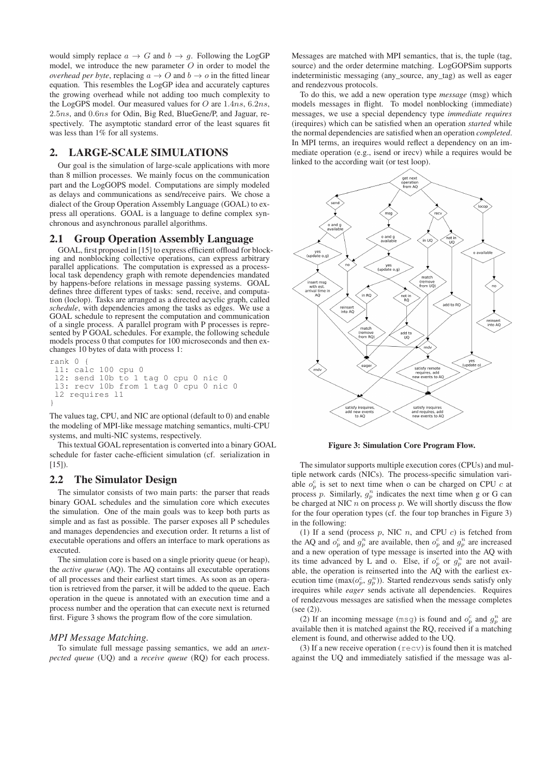would simply replace  $a \to G$  and  $b \to g$ . Following the LogGP model, we introduce the new parameter  $O$  in order to model the *overhead per byte*, replacing  $a \rightarrow O$  and  $b \rightarrow o$  in the fitted linear equation. This resembles the LogGP idea and accurately captures the growing overhead while not adding too much complexity to the LogGPS model. Our measured values for O are 1.4ns, 6.2ns, 2.5ns, and 0.6ns for Odin, Big Red, BlueGene/P, and Jaguar, respectively. The asymptotic standard error of the least squares fit was less than 1% for all systems.

## **2. LARGE-SCALE SIMULATIONS**

Our goal is the simulation of large-scale applications with more than 8 million processes. We mainly focus on the communication part and the LogGOPS model. Computations are simply modeled as delays and communications as send/receive pairs. We chose a dialect of the Group Operation Assembly Language (GOAL) to express all operations. GOAL is a language to define complex synchronous and asynchronous parallel algorithms.

## **2.1 Group Operation Assembly Language**

GOAL, first proposed in [15] to express efficient offload for blocking and nonblocking collective operations, can express arbitrary parallel applications. The computation is expressed as a processlocal task dependency graph with remote dependencies mandated by happens-before relations in message passing systems. GOAL defines three different types of tasks: send, receive, and computation (loclop). Tasks are arranged as a directed acyclic graph, called *schedule*, with dependencies among the tasks as edges. We use a GOAL schedule to represent the computation and communication of a single process. A parallel program with P processes is represented by P GOAL schedules. For example, the following schedule models process 0 that computes for 100 microseconds and then exchanges 10 bytes of data with process 1:

```
rank 0 {
 l1: calc 100 cpu 0
 l2: send 10b to 1 tag 0 cpu 0 nic 0
 l3: recv 10b from 1 tag 0 cpu 0 nic 0
 l2 requires l1
}
```
The values tag, CPU, and NIC are optional (default to 0) and enable the modeling of MPI-like message matching semantics, multi-CPU systems, and multi-NIC systems, respectively.

This textual GOAL representation is converted into a binary GOAL schedule for faster cache-efficient simulation (cf. serialization in  $[15]$ ).

## **2.2 The Simulator Design**

The simulator consists of two main parts: the parser that reads binary GOAL schedules and the simulation core which executes the simulation. One of the main goals was to keep both parts as simple and as fast as possible. The parser exposes all P schedules and manages dependencies and execution order. It returns a list of executable operations and offers an interface to mark operations as executed.

The simulation core is based on a single priority queue (or heap), the *active queue* (AQ). The AQ contains all executable operations of all processes and their earliest start times. As soon as an operation is retrieved from the parser, it will be added to the queue. Each operation in the queue is annotated with an execution time and a process number and the operation that can execute next is returned first. Figure 3 shows the program flow of the core simulation.

#### *MPI Message Matching.*

To simulate full message passing semantics, we add an *unexpected queue* (UQ) and a *receive queue* (RQ) for each process. Messages are matched with MPI semantics, that is, the tuple (tag, source) and the order determine matching. LogGOPSim supports indeterministic messaging (any\_source, any\_tag) as well as eager and rendezvous protocols.

To do this, we add a new operation type *message* (msg) which models messages in flight. To model nonblocking (immediate) messages, we use a special dependency type *immediate requires* (irequires) which can be satisfied when an operation *started* while the normal dependencies are satisfied when an operation *completed*. In MPI terms, an irequires would reflect a dependency on an immediate operation (e.g., isend or irecv) while a requires would be linked to the according wait (or test loop).



**Figure 3: Simulation Core Program Flow.**

The simulator supports multiple execution cores (CPUs) and multiple network cards (NICs). The process-specific simulation variable  $o_p^c$  is set to next time when o can be charged on CPU c at process p. Similarly,  $g_p^n$  indicates the next time when g or G can be charged at NIC  $n$  on process  $p$ . We will shortly discuss the flow for the four operation types (cf. the four top branches in Figure 3) in the following:

(1) If a send (process  $p$ , NIC  $n$ , and CPU  $c$ ) is fetched from the AQ and  $o_p^c$  and  $g_p^n$  are available, then  $o_p^c$  and  $g_p^n$  are increased and a new operation of type message is inserted into the AQ with its time advanced by L and o. Else, if  $o_p^c$  or  $g_p^n$  are not available, the operation is reinserted into the AQ with the earliest execution time  $(\max(o_p^c, g_p^n))$ . Started rendezvous sends satisfy only irequires while *eager* sends activate all dependencies. Requires of rendezvous messages are satisfied when the message completes (see (2)).

(2) If an incoming message (msg) is found and  $o_p^c$  and  $g_p^n$  are available then it is matched against the RQ, received if a matching element is found, and otherwise added to the UQ.

(3) If a new receive operation ( $recv$ ) is found then it is matched against the UQ and immediately satisfied if the message was al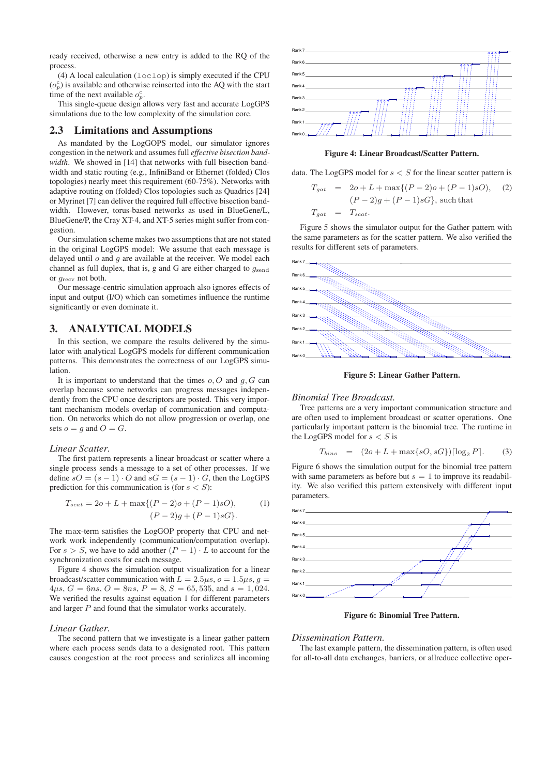ready received, otherwise a new entry is added to the RQ of the process.

(4) A local calculation (loclop) is simply executed if the CPU  $(o_p^c)$  is available and otherwise reinserted into the AQ with the start time of the next available  $o_p^c$ .

This single-queue design allows very fast and accurate LogGPS simulations due to the low complexity of the simulation core.

#### **2.3 Limitations and Assumptions**

As mandated by the LogGOPS model, our simulator ignores congestion in the network and assumes full *effective bisection bandwidth*. We showed in [14] that networks with full bisection bandwidth and static routing (e.g., InfiniBand or Ethernet (folded) Clos topologies) nearly meet this requirement (60-75%). Networks with adaptive routing on (folded) Clos topologies such as Quadrics [24] or Myrinet [7] can deliver the required full effective bisection bandwidth. However, torus-based networks as used in BlueGene/L, BlueGene/P, the Cray XT-4, and XT-5 series might suffer from congestion.

Our simulation scheme makes two assumptions that are not stated in the original LogGPS model: We assume that each message is delayed until  $o$  and  $q$  are available at the receiver. We model each channel as full duplex, that is, g and G are either charged to  $q_{\rm send}$ or  $q_{\text{recv}}$  not both.

Our message-centric simulation approach also ignores effects of input and output (I/O) which can sometimes influence the runtime significantly or even dominate it.

## **3. ANALYTICAL MODELS**

In this section, we compare the results delivered by the simulator with analytical LogGPS models for different communication patterns. This demonstrates the correctness of our LogGPS simulation.

It is important to understand that the times  $o, O$  and  $q, G$  can overlap because some networks can progress messages independently from the CPU once descriptors are posted. This very important mechanism models overlap of communication and computation. On networks which do not allow progression or overlap, one sets  $o = g$  and  $O = G$ .

#### *Linear Scatter.*

The first pattern represents a linear broadcast or scatter where a single process sends a message to a set of other processes. If we define  $sO = (s - 1) \cdot O$  and  $sG = (s - 1) \cdot G$ , then the LogGPS prediction for this communication is (for  $s < S$ ):

$$
T_{scat} = 2o + L + \max\{(P-2)o + (P-1)sO),
$$
  
(P-2)g + (P-1)sG}. (1)

The max-term satisfies the LogGOP property that CPU and network work independently (communication/computation overlap). For  $s > S$ , we have to add another  $(P - 1) \cdot L$  to account for the synchronization costs for each message.

Figure 4 shows the simulation output visualization for a linear broadcast/scatter communication with  $L = 2.5 \mu s$ ,  $o = 1.5 \mu s$ ,  $q =$  $4\mu s$ ,  $G = 6ns$ ,  $O = 8ns$ ,  $P = 8$ ,  $S = 65, 535$ , and  $s = 1,024$ . We verified the results against equation 1 for different parameters and larger P and found that the simulator works accurately.

#### *Linear Gather.*

The second pattern that we investigate is a linear gather pattern where each process sends data to a designated root. This pattern causes congestion at the root process and serializes all incoming



**Figure 4: Linear Broadcast/Scatter Pattern.**

data. The LogGPS model for  $s < S$  for the linear scatter pattern is

$$
T_{gat} = 2o + L + \max\{(P-2)o + (P-1)sO), (2)
$$
  
(P-2)g + (P-1)sG}, such that  

$$
T_{gat} = T_{scat}.
$$

Figure 5 shows the simulator output for the Gather pattern with the same parameters as for the scatter pattern. We also verified the results for different sets of parameters.



**Figure 5: Linear Gather Pattern.**

#### *Binomial Tree Broadcast.*

Tree patterns are a very important communication structure and are often used to implement broadcast or scatter operations. One particularly important pattern is the binomial tree. The runtime in the LogGPS model for  $s < S$  is

$$
T_{bino} = (2o + L + \max\{sO, sG\})[\log_2 P].
$$
 (3)

Figure 6 shows the simulation output for the binomial tree pattern with same parameters as before but  $s = 1$  to improve its readability. We also verified this pattern extensively with different input parameters.



**Figure 6: Binomial Tree Pattern.**

#### *Dissemination Pattern.*

The last example pattern, the dissemination pattern, is often used for all-to-all data exchanges, barriers, or allreduce collective oper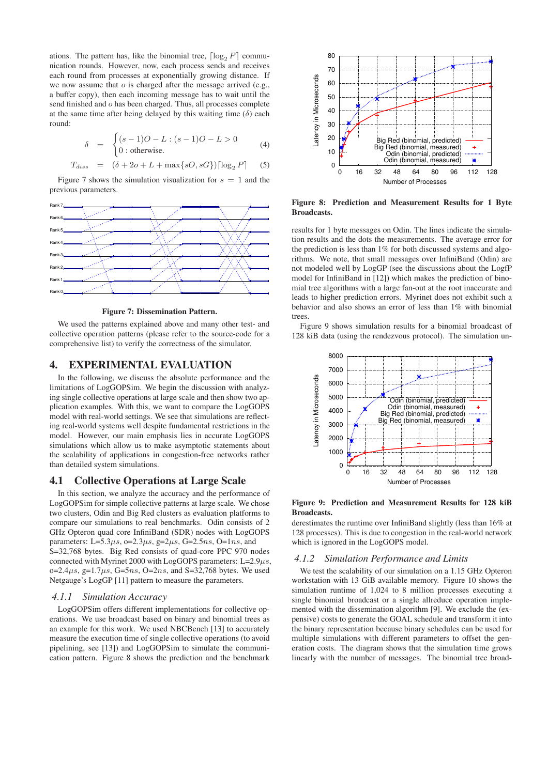ations. The pattern has, like the binomial tree,  $\lceil \log_2 P \rceil$  communication rounds. However, now, each process sends and receives each round from processes at exponentially growing distance. If we now assume that  $o$  is charged after the message arrived (e.g., a buffer copy), then each incoming message has to wait until the send finished and o has been charged. Thus, all processes complete at the same time after being delayed by this waiting time  $(\delta)$  each round:

$$
\delta = \begin{cases} (s-1)O - L : (s-1)O - L > 0 \\ 0 : \text{otherwise.} \end{cases}
$$
 (4)

$$
T_{diss} = (\delta + 2o + L + \max\{sO, sG\})[\log_2 P] \quad (5)
$$

Figure 7 shows the simulation visualization for  $s = 1$  and the previous parameters.



**Figure 7: Dissemination Pattern.**

We used the patterns explained above and many other test- and collective operation patterns (please refer to the source-code for a comprehensive list) to verify the correctness of the simulator.

#### **4. EXPERIMENTAL EVALUATION**

In the following, we discuss the absolute performance and the limitations of LogGOPSim. We begin the discussion with analyzing single collective operations at large scale and then show two application examples. With this, we want to compare the LogGOPS model with real-world settings. We see that simulations are reflecting real-world systems well despite fundamental restrictions in the model. However, our main emphasis lies in accurate LogGOPS simulations which allow us to make asymptotic statements about the scalability of applications in congestion-free networks rather than detailed system simulations.

#### **4.1 Collective Operations at Large Scale**

In this section, we analyze the accuracy and the performance of LogGOPSim for simple collective patterns at large scale. We chose two clusters, Odin and Big Red clusters as evaluation platforms to compare our simulations to real benchmarks. Odin consists of 2 GHz Opteron quad core InfiniBand (SDR) nodes with LogGOPS parameters: L=5.3 $\mu$ s, o=2.3 $\mu$ s, g=2 $\mu$ s, G=2.5 $ns$ , O=1 $ns$ , and S=32,768 bytes. Big Red consists of quad-core PPC 970 nodes connected with Myrinet 2000 with LogGOPS parameters:  $L=2.9\mu s$ ,  $o=2.4\mu s$ , g=1.7 $\mu s$ , G=5 $ns$ , O=2 $ns$ , and S=32,768 bytes. We used Netgauge's LogGP [11] pattern to measure the parameters.

## *4.1.1 Simulation Accuracy*

LogGOPSim offers different implementations for collective operations. We use broadcast based on binary and binomial trees as an example for this work. We used NBCBench [13] to accurately measure the execution time of single collective operations (to avoid pipelining, see [13]) and LogGOPSim to simulate the communication pattern. Figure 8 shows the prediction and the benchmark



**Figure 8: Prediction and Measurement Results for 1 Byte Broadcasts.**

results for 1 byte messages on Odin. The lines indicate the simulation results and the dots the measurements. The average error for the prediction is less than 1% for both discussed systems and algorithms. We note, that small messages over InfiniBand (Odin) are not modeled well by LogGP (see the discussions about the LogfP model for InfiniBand in [12]) which makes the prediction of binomial tree algorithms with a large fan-out at the root inaccurate and leads to higher prediction errors. Myrinet does not exhibit such a behavior and also shows an error of less than 1% with binomial trees.

Figure 9 shows simulation results for a binomial broadcast of 128 kiB data (using the rendezvous protocol). The simulation un-



#### **Figure 9: Prediction and Measurement Results for 128 kiB Broadcasts.**

derestimates the runtime over InfiniBand slightly (less than 16% at 128 processes). This is due to congestion in the real-world network which is ignored in the LogGOPS model.

#### *4.1.2 Simulation Performance and Limits*

We test the scalability of our simulation on a 1.15 GHz Opteron workstation with 13 GiB available memory. Figure 10 shows the simulation runtime of 1,024 to 8 million processes executing a single binomial broadcast or a single allreduce operation implemented with the dissemination algorithm [9]. We exclude the (expensive) costs to generate the GOAL schedule and transform it into the binary representation because binary schedules can be used for multiple simulations with different parameters to offset the generation costs. The diagram shows that the simulation time grows linearly with the number of messages. The binomial tree broad-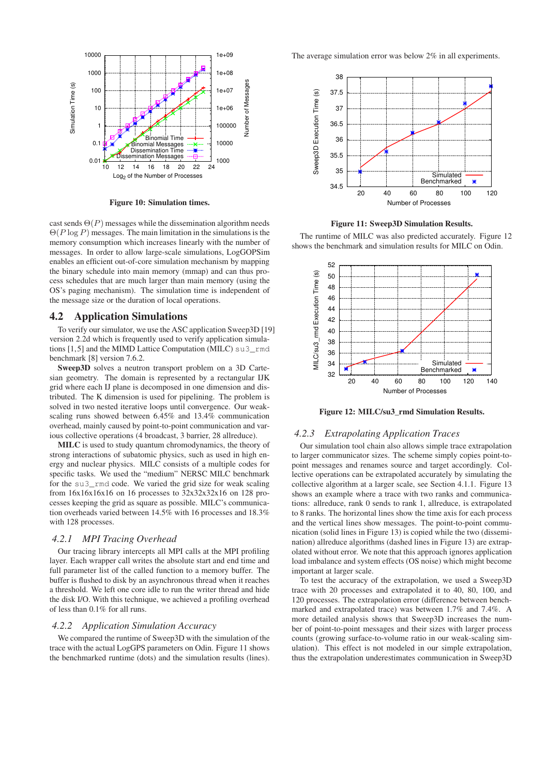

**Figure 10: Simulation times.**

cast sends  $\Theta(P)$  messages while the dissemination algorithm needs  $\Theta(P \log P)$  messages. The main limitation in the simulations is the memory consumption which increases linearly with the number of messages. In order to allow large-scale simulations, LogGOPSim enables an efficient out-of-core simulation mechanism by mapping the binary schedule into main memory (mmap) and can thus process schedules that are much larger than main memory (using the OS's paging mechanism). The simulation time is independent of the message size or the duration of local operations.

#### **4.2 Application Simulations**

To verify our simulator, we use the ASC application Sweep3D [19] version 2.2d which is frequently used to verify application simulations [1,5] and the MIMD Lattice Computation (MILC) su3\_rmd benchmark [8] version 7.6.2.

**Sweep3D** solves a neutron transport problem on a 3D Cartesian geometry. The domain is represented by a rectangular IJK grid where each IJ plane is decomposed in one dimension and distributed. The K dimension is used for pipelining. The problem is solved in two nested iterative loops until convergence. Our weakscaling runs showed between 6.45% and 13.4% communication overhead, mainly caused by point-to-point communication and various collective operations (4 broadcast, 3 barrier, 28 allreduce).

**MILC** is used to study quantum chromodynamics, the theory of strong interactions of subatomic physics, such as used in high energy and nuclear physics. MILC consists of a multiple codes for specific tasks. We used the "medium" NERSC MILC benchmark for the su3\_rmd code. We varied the grid size for weak scaling from 16x16x16x16 on 16 processes to 32x32x32x16 on 128 processes keeping the grid as square as possible. MILC's communication overheads varied between 14.5% with 16 processes and 18.3% with 128 processes.

#### *4.2.1 MPI Tracing Overhead*

Our tracing library intercepts all MPI calls at the MPI profiling layer. Each wrapper call writes the absolute start and end time and full parameter list of the called function to a memory buffer. The buffer is flushed to disk by an asynchronous thread when it reaches a threshold. We left one core idle to run the writer thread and hide the disk I/O. With this technique, we achieved a profiling overhead of less than 0.1% for all runs.

#### *4.2.2 Application Simulation Accuracy*

We compared the runtime of Sweep3D with the simulation of the trace with the actual LogGPS parameters on Odin. Figure 11 shows the benchmarked runtime (dots) and the simulation results (lines). The average simulation error was below 2% in all experiments.



**Figure 11: Sweep3D Simulation Results.**

The runtime of MILC was also predicted accurately. Figure 12 shows the benchmark and simulation results for MILC on Odin.



**Figure 12: MILC/su3\_rmd Simulation Results.**

#### *4.2.3 Extrapolating Application Traces*

Our simulation tool chain also allows simple trace extrapolation to larger communicator sizes. The scheme simply copies point-topoint messages and renames source and target accordingly. Collective operations can be extrapolated accurately by simulating the collective algorithm at a larger scale, see Section 4.1.1. Figure 13 shows an example where a trace with two ranks and communications: allreduce, rank 0 sends to rank 1, allreduce, is extrapolated to 8 ranks. The horizontal lines show the time axis for each process and the vertical lines show messages. The point-to-point communication (solid lines in Figure 13) is copied while the two (dissemination) allreduce algorithms (dashed lines in Figure 13) are extrapolated without error. We note that this approach ignores application load imbalance and system effects (OS noise) which might become important at larger scale.

To test the accuracy of the extrapolation, we used a Sweep3D trace with 20 processes and extrapolated it to 40, 80, 100, and 120 processes. The extrapolation error (difference between benchmarked and extrapolated trace) was between 1.7% and 7.4%. A more detailed analysis shows that Sweep3D increases the number of point-to-point messages and their sizes with larger process counts (growing surface-to-volume ratio in our weak-scaling simulation). This effect is not modeled in our simple extrapolation, thus the extrapolation underestimates communication in Sweep3D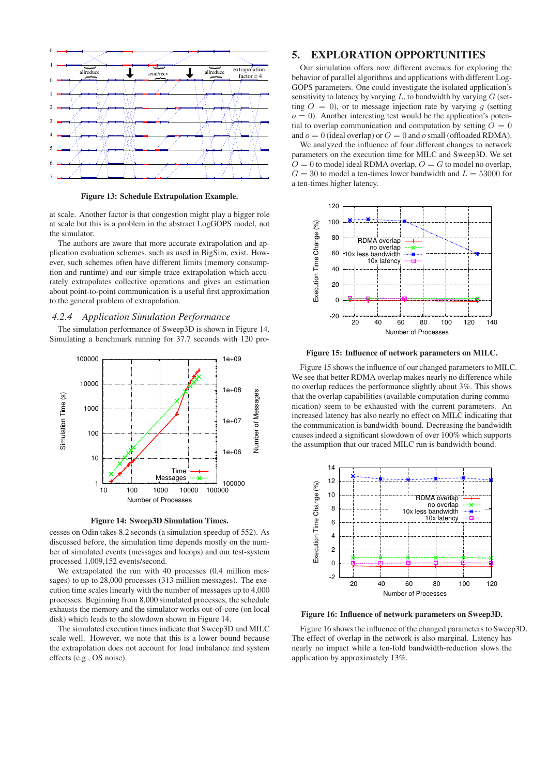

**Figure 13: Schedule Extrapolation Example.**

at scale. Another factor is that congestion might play a bigger role at scale but this is a problem in the abstract LogGOPS model, not the simulator.

The authors are aware that more accurate extrapolation and application evaluation schemes, such as used in BigSim, exist. However, such schemes often have different limits (memory consumption and runtime) and our simple trace extrapolation which accurately extrapolates collective operations and gives an estimation about point-to-point communication is a useful first approximation to the general problem of extrapolation.

#### *4.2.4 Application Simulation Performance*

The simulation performance of Sweep3D is shown in Figure 14. Simulating a benchmark running for 37.7 seconds with 120 pro-





cesses on Odin takes 8.2 seconds (a simulation speedup of 552). As discussed before, the simulation time depends mostly on the number of simulated events (messages and locops) and our test-system processed 1,009,152 events/second.

We extrapolated the run with 40 processes (0.4 million messages) to up to 28,000 processes (313 million messages). The execution time scales linearly with the number of messages up to 4,000 processes. Beginning from 8,000 simulated processes, the schedule exhausts the memory and the simulator works out-of-core (on local disk) which leads to the slowdown shown in Figure 14.

The simulated execution times indicate that Sweep3D and MILC scale well. However, we note that this is a lower bound because the extrapolation does not account for load imbalance and system effects (e.g., OS noise).

## **5. EXPLORATION OPPORTUNITIES**

Our simulation offers now different avenues for exploring the behavior of parallel algorithms and applications with different Log-GOPS parameters. One could investigate the isolated application's sensitivity to latency by varying  $L$ , to bandwidth by varying  $G$  (setting  $\hat{O} = 0$ ), or to message injection rate by varying q (setting  $o = 0$ ). Another interesting test would be the application's potential to overlap communication and computation by setting  $O = 0$ and  $o = 0$  (ideal overlap) or  $O = 0$  and  $o$  small (offloaded RDMA).

We analyzed the influence of four different changes to network parameters on the execution time for MILC and Sweep3D. We set  $O = 0$  to model ideal RDMA overlap,  $O = G$  to model no overlap,  $G = 30$  to model a ten-times lower bandwidth and  $L = 53000$  for a ten-times higher latency.



**Figure 15: Influence of network parameters on MILC.**

Figure 15 shows the influence of our changed parameters to MILC. We see that better RDMA overlap makes nearly no difference while no overlap reduces the performance slightly about 3%. This shows that the overlap capabilities (available computation during communication) seem to be exhausted with the current parameters. An increased latency has also nearly no effect on MILC indicating that the communication is bandwidth-bound. Decreasing the bandwidth causes indeed a significant slowdown of over 100% which supports the assumption that our traced MILC run is bandwidth bound.



**Figure 16: Influence of network parameters on Sweep3D.**

Figure 16 shows the influence of the changed parameters to Sweep3D. The effect of overlap in the network is also marginal. Latency has nearly no impact while a ten-fold bandwidth-reduction slows the application by approximately 13%.